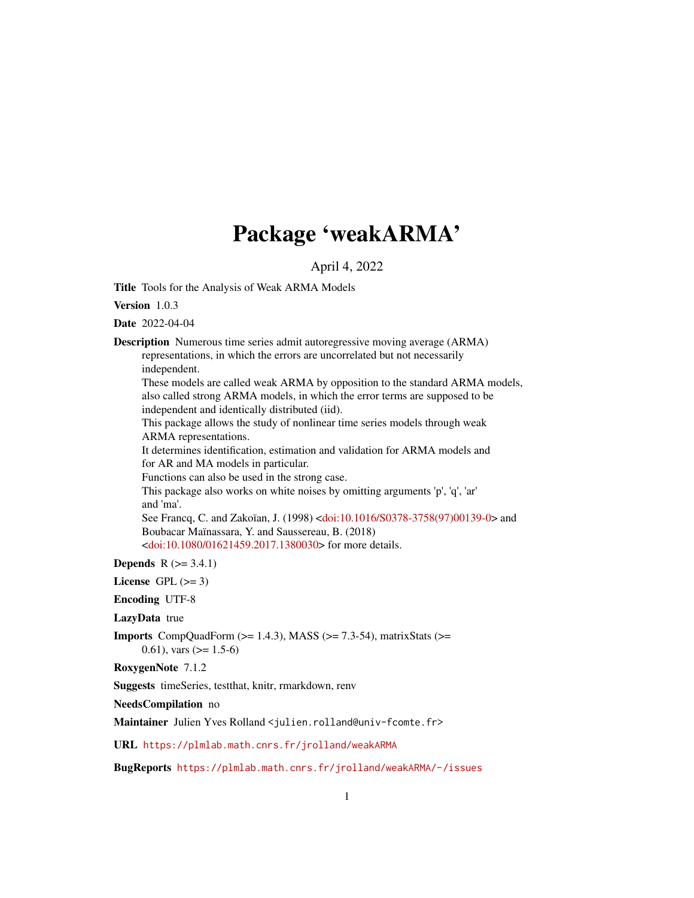# Package 'weakARMA'

April 4, 2022

<span id="page-0-0"></span>Title Tools for the Analysis of Weak ARMA Models

Version 1.0.3

Date 2022-04-04

Description Numerous time series admit autoregressive moving average (ARMA) representations, in which the errors are uncorrelated but not necessarily independent. These models are called weak ARMA by opposition to the standard ARMA models, also called strong ARMA models, in which the error terms are supposed to be independent and identically distributed (iid). This package allows the study of nonlinear time series models through weak ARMA representations. It determines identification, estimation and validation for ARMA models and for AR and MA models in particular. Functions can also be used in the strong case. This package also works on white noises by omitting arguments 'p', 'q', 'ar' and 'ma'. See Francq, C. and Zakoïan, J. (1998) [<doi:10.1016/S0378-3758\(97\)00139-0>](https://doi.org/10.1016/S0378-3758(97)00139-0) and Boubacar Maïnassara, Y. and Saussereau, B. (2018) [<doi:10.1080/01621459.2017.1380030>](https://doi.org/10.1080/01621459.2017.1380030) for more details.

**Depends**  $R$  ( $> = 3.4.1$ )

License GPL  $(>= 3)$ 

Encoding UTF-8

LazyData true

**Imports** CompQuadForm  $(>= 1.4.3)$ , MASS  $(>= 7.3.54)$ , matrixStats  $(>=$ 0.61), vars  $(>= 1.5-6)$ 

RoxygenNote 7.1.2

Suggests timeSeries, testthat, knitr, rmarkdown, renv

NeedsCompilation no

Maintainer Julien Yves Rolland <julien.rolland@univ-fcomte.fr>

URL <https://plmlab.math.cnrs.fr/jrolland/weakARMA>

BugReports <https://plmlab.math.cnrs.fr/jrolland/weakARMA/-/issues>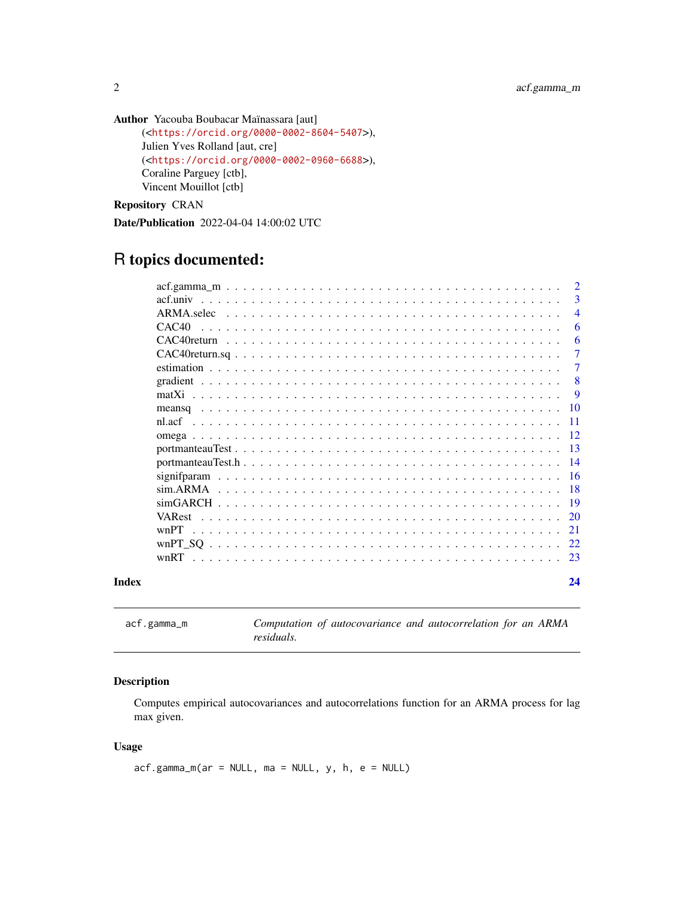```
Author Yacouba Boubacar Maïnassara [aut]
     (<https://orcid.org/0000-0002-8604-5407>),
     Julien Yves Rolland [aut, cre]
     (<https://orcid.org/0000-0002-0960-6688>),
     Coraline Parguey [ctb],
     Vincent Mouillot [ctb]
```
Repository CRAN

Date/Publication 2022-04-04 14:00:02 UTC

## R topics documented:

|       |               | $\overline{2}$ |
|-------|---------------|----------------|
|       |               | 3              |
|       |               | $\overline{4}$ |
|       | CAC40         | 6              |
|       |               | 6              |
|       |               | $\overline{7}$ |
|       |               | 7              |
|       |               | 8              |
|       |               | 9              |
|       |               | <b>10</b>      |
|       | nl acf        | -11            |
|       |               | 12             |
|       |               | -13            |
|       |               | 14             |
|       |               | -16            |
|       |               | -18            |
|       |               | -19            |
|       | <b>VARest</b> | 20             |
|       | wnPT          | 21             |
|       |               | 22             |
|       |               | 23             |
| Index |               | 24             |

<span id="page-1-1"></span>acf.gamma\_m *Computation of autocovariance and autocorrelation for an ARMA residuals.*

#### Description

Computes empirical autocovariances and autocorrelations function for an ARMA process for lag max given.

#### Usage

 $acf.gamma_m(ar = NULL, ma = NULL, y, h, e = NULL)$ 

<span id="page-1-0"></span>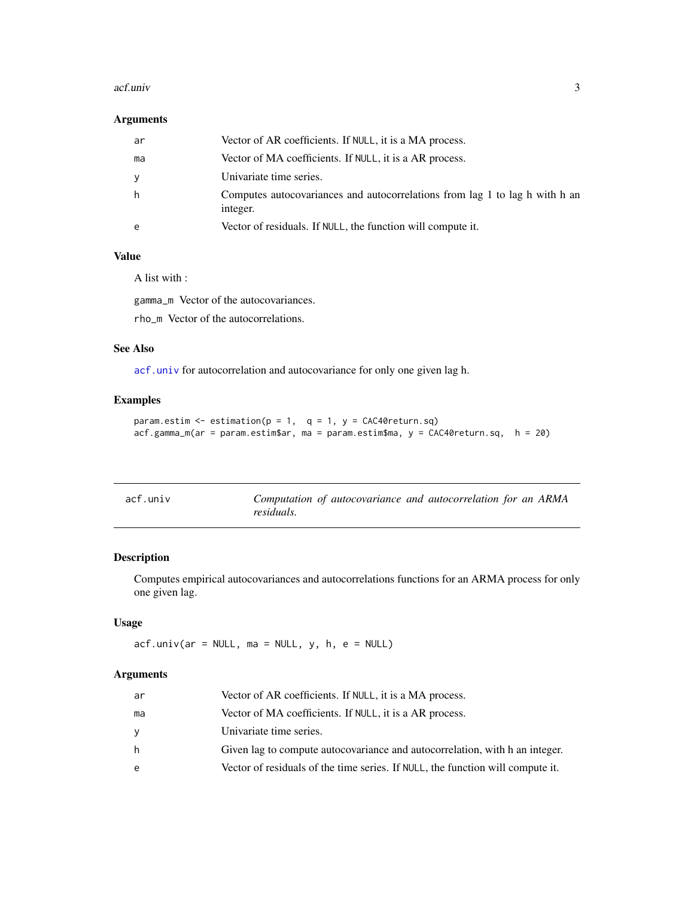#### <span id="page-2-0"></span>acf.univ 3

#### Arguments

| ar | Vector of AR coefficients. If NULL, it is a MA process.                                 |
|----|-----------------------------------------------------------------------------------------|
| ma | Vector of MA coefficients. If NULL, it is a AR process.                                 |
| y  | Univariate time series.                                                                 |
| h  | Computes autocovariances and autocorrelations from lag 1 to lag h with h an<br>integer. |
| e  | Vector of residuals. If NULL, the function will compute it.                             |

### Value

A list with :

gamma\_m Vector of the autocovariances.

rho\_m Vector of the autocorrelations.

#### See Also

[acf.univ](#page-2-1) for autocorrelation and autocovariance for only one given lag h.

#### Examples

```
param.estim \leq estimation(p = 1, q = 1, y = CAC40 return.sq)
acf.gamma_m(ar = param.estim$ar, ma = param.estim$ma, y = CAC40return.sq, h = 20)
```
<span id="page-2-1"></span>

| acf.univ |            |  | Computation of autocovariance and autocorrelation for an ARMA |  |  |
|----------|------------|--|---------------------------------------------------------------|--|--|
|          | residuals. |  |                                                               |  |  |

#### Description

Computes empirical autocovariances and autocorrelations functions for an ARMA process for only one given lag.

#### Usage

 $acf.$ univ(ar = NULL, ma = NULL, y, h, e = NULL)

#### Arguments

| ar | Vector of AR coefficients. If NULL, it is a MA process.                        |
|----|--------------------------------------------------------------------------------|
| ma | Vector of MA coefficients. If NULL, it is a AR process.                        |
| ٧  | Univariate time series.                                                        |
| h  | Given lag to compute autocovariance and autocorrelation, with h an integer.    |
| e  | Vector of residuals of the time series. If NULL, the function will compute it. |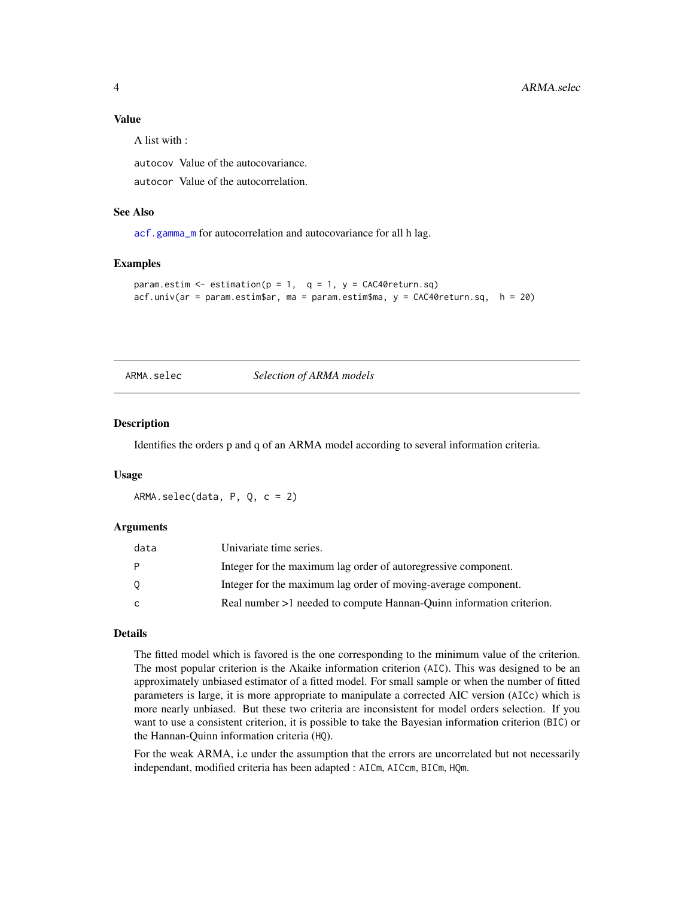#### <span id="page-3-0"></span>Value

A list with :

autocov Value of the autocovariance.

autocor Value of the autocorrelation.

#### See Also

[acf.gamma\\_m](#page-1-1) for autocorrelation and autocovariance for all h lag.

#### Examples

```
param.estim \leq estimation(p = 1, q = 1, y = CAC40return.sq)
acf.univ(ar = param.estim$ar, ma = param.estim$ma, y = CAC40return.sq, h = 20)
```
ARMA.selec *Selection of ARMA models*

#### Description

Identifies the orders p and q of an ARMA model according to several information criteria.

#### Usage

ARMA.selec(data, P, Q, c = 2)

#### Arguments

| data    | Univariate time series.                                              |
|---------|----------------------------------------------------------------------|
| - P     | Integer for the maximum lag order of autoregressive component.       |
| $\circ$ | Integer for the maximum lag order of moving-average component.       |
| C.      | Real number >1 needed to compute Hannan-Quinn information criterion. |

#### Details

The fitted model which is favored is the one corresponding to the minimum value of the criterion. The most popular criterion is the Akaike information criterion (AIC). This was designed to be an approximately unbiased estimator of a fitted model. For small sample or when the number of fitted parameters is large, it is more appropriate to manipulate a corrected AIC version (AICc) which is more nearly unbiased. But these two criteria are inconsistent for model orders selection. If you want to use a consistent criterion, it is possible to take the Bayesian information criterion (BIC) or the Hannan-Quinn information criteria (HQ).

For the weak ARMA, i.e under the assumption that the errors are uncorrelated but not necessarily independant, modified criteria has been adapted : AICm, AICcm, BICm, HQm.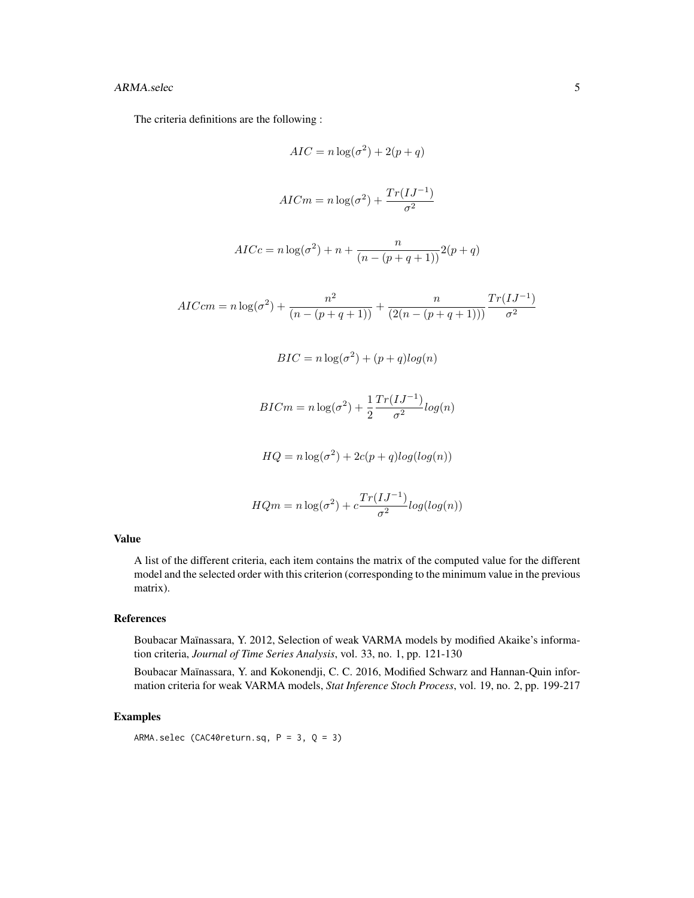#### ARMA.selec 5

The criteria definitions are the following :

$$
AIC = n \log(\sigma^2) + 2(p+q)
$$
  
\n
$$
AICm = n \log(\sigma^2) + \frac{Tr(IJ^{-1})}{\sigma^2}
$$
  
\n
$$
AICc = n \log(\sigma^2) + n + \frac{n}{(n - (p+q+1))} 2(p+q)
$$
  
\n
$$
AICcm = n \log(\sigma^2) + \frac{n^2}{(n - (p+q+1))} + \frac{n}{(2(n - (p+q+1)))} \frac{Tr(IJ^{-1})}{\sigma^2}
$$
  
\n
$$
BIC = n \log(\sigma^2) + (p+q) \log(n)
$$
  
\n
$$
BICm = n \log(\sigma^2) + \frac{1}{2} \frac{Tr(IJ^{-1})}{\sigma^2} \log(n)
$$
  
\n
$$
HQ = n \log(\sigma^2) + 2c(p+q) \log(\log(n))
$$
  
\n
$$
HQm = n \log(\sigma^2) + c \frac{Tr(IJ^{-1})}{\sigma^2} \log(\log(n))
$$

#### Value

A list of the different criteria, each item contains the matrix of the computed value for the different model and the selected order with this criterion (corresponding to the minimum value in the previous matrix).

#### References

Boubacar Maïnassara, Y. 2012, Selection of weak VARMA models by modified Akaike's information criteria, *Journal of Time Series Analysis*, vol. 33, no. 1, pp. 121-130

Boubacar Maïnassara, Y. and Kokonendji, C. C. 2016, Modified Schwarz and Hannan-Quin information criteria for weak VARMA models, *Stat Inference Stoch Process*, vol. 19, no. 2, pp. 199-217

#### Examples

ARMA.selec (CAC40return.sq, P = 3, Q = 3)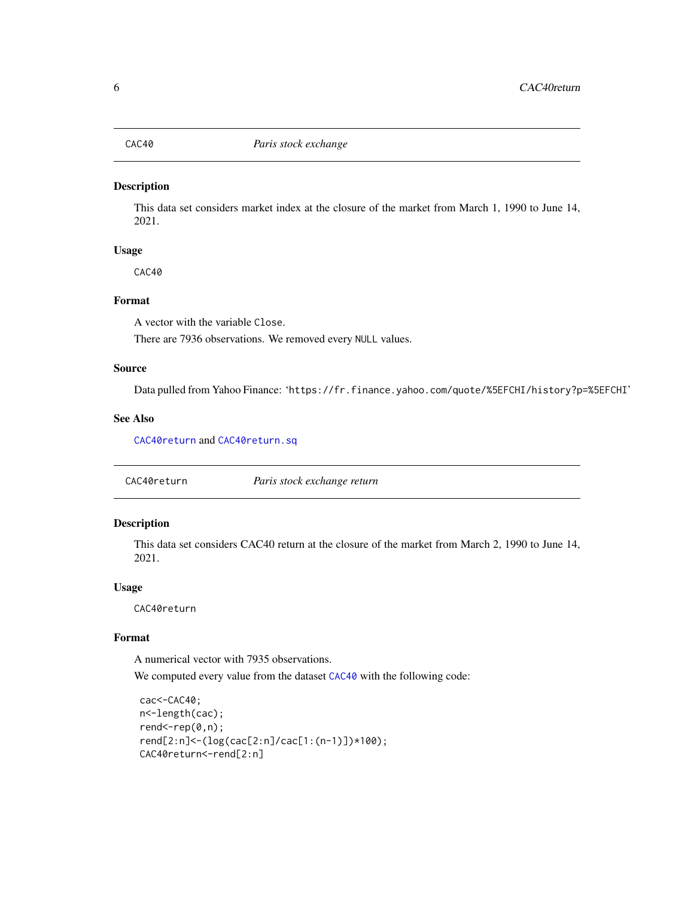<span id="page-5-2"></span><span id="page-5-0"></span>

This data set considers market index at the closure of the market from March 1, 1990 to June 14, 2021.

#### Usage

CAC40

#### Format

A vector with the variable Close.

There are 7936 observations. We removed every NULL values.

### Source

Data pulled from Yahoo Finance: 'https://fr.finance.yahoo.com/quote/%5EFCHI/history?p=%5EFCHI'

#### See Also

[CAC40return](#page-5-1) and [CAC40return.sq](#page-6-1)

<span id="page-5-1"></span>CAC40return *Paris stock exchange return*

#### Description

This data set considers CAC40 return at the closure of the market from March 2, 1990 to June 14, 2021.

#### Usage

CAC40return

#### Format

A numerical vector with 7935 observations.

We computed every value from the dataset [CAC40](#page-5-2) with the following code:

```
cac<-CAC40;
n<-length(cac);
rend < -rep(0, n);rend[2:n]<-(log(cac[2:n]/cac[1:(n-1)])*100);
CAC40return<-rend[2:n]
```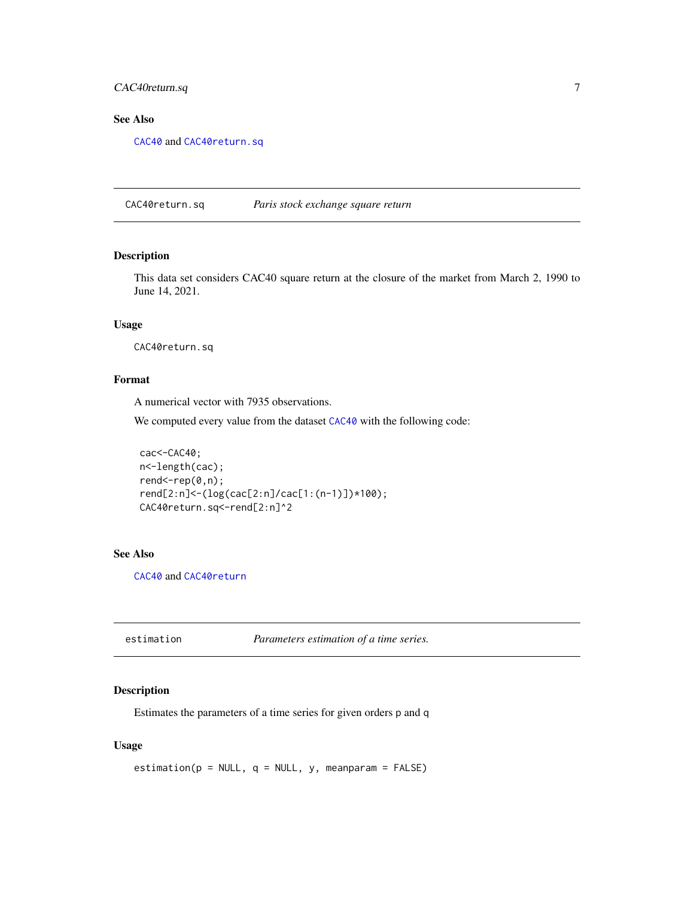#### <span id="page-6-0"></span>CAC40return.sq 7

#### See Also

[CAC40](#page-5-2) and [CAC40return.sq](#page-6-1)

<span id="page-6-1"></span>CAC40return.sq *Paris stock exchange square return*

#### Description

This data set considers CAC40 square return at the closure of the market from March 2, 1990 to June 14, 2021.

#### Usage

CAC40return.sq

#### Format

A numerical vector with 7935 observations.

We computed every value from the dataset  $CAC40$  with the following code:

```
cac<-CAC40;
n<-length(cac);
rend<-rep(0,n);
rend[2:n]<-(log(cac[2:n]/cac[1:(n-1)])*100);
CAC40return.sq<-rend[2:n]^2
```
#### See Also

[CAC40](#page-5-2) and [CAC40return](#page-5-1)

<span id="page-6-2"></span>estimation *Parameters estimation of a time series.*

#### Description

Estimates the parameters of a time series for given orders p and q

#### Usage

 $estimation(p = NULL, q = NULL, y, meanparam = FALSE)$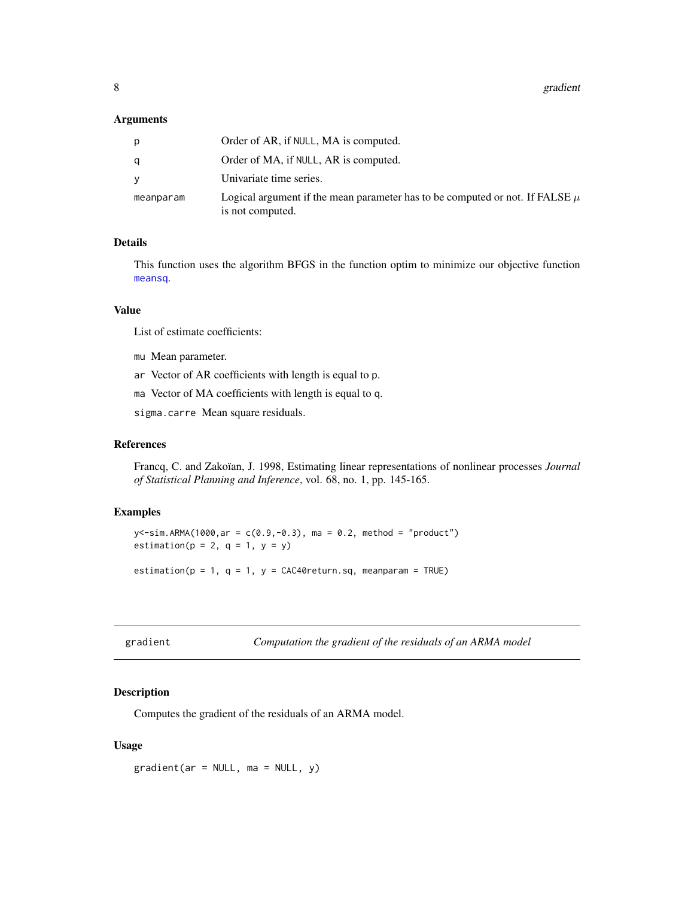#### <span id="page-7-0"></span>Arguments

| D         | Order of AR, if NULL, MA is computed.                                                                |
|-----------|------------------------------------------------------------------------------------------------------|
|           | Order of MA, if NULL, AR is computed.                                                                |
|           | Univariate time series.                                                                              |
| meanparam | Logical argument if the mean parameter has to be computed or not. If FALSE $\mu$<br>is not computed. |

#### Details

This function uses the algorithm BFGS in the function optim to minimize our objective function [meansq](#page-9-1).

#### Value

List of estimate coefficients:

- mu Mean parameter.
- ar Vector of AR coefficients with length is equal to p.
- ma Vector of MA coefficients with length is equal to q.
- sigma.carre Mean square residuals.

#### References

Francq, C. and Zakoïan, J. 1998, Estimating linear representations of nonlinear processes *Journal of Statistical Planning and Inference*, vol. 68, no. 1, pp. 145-165.

#### Examples

```
y<-sim.ARMA(1000,ar = c(0.9,-0.3), ma = 0.2, method = "product")
estimation(p = 2, q = 1, y = y)
estimation(p = 1, q = 1, y = CAC40return.sq, meanparam = TRUE)
```
<span id="page-7-1"></span>

| gradient |
|----------|
|          |
|          |
|          |

Computation the gradient of the residuals of an ARMA model

#### Description

Computes the gradient of the residuals of an ARMA model.

#### Usage

 $gradient(ar = NULL, ma = NULL, y)$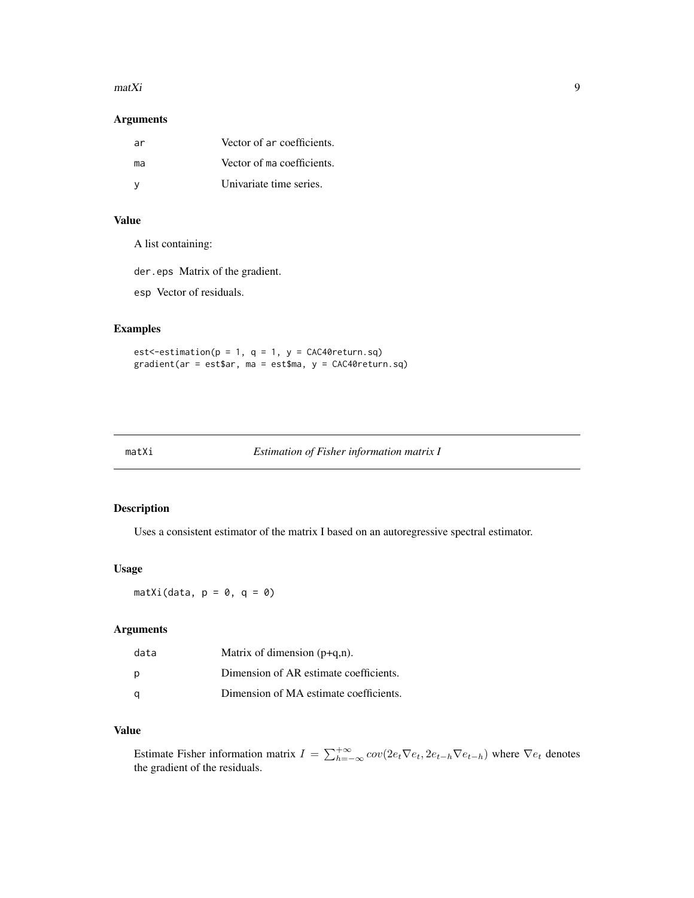#### <span id="page-8-0"></span> $maxX$ i 9

#### Arguments

| ar | Vector of ar coefficients. |
|----|----------------------------|
| ma | Vector of ma coefficients. |
|    | Univariate time series.    |

#### Value

A list containing:

der.eps Matrix of the gradient.

esp Vector of residuals.

#### Examples

est <- estimation( $p = 1$ ,  $q = 1$ ,  $y = CAC40$  return.sq) gradient(ar = est\$ar, ma = est\$ma, y = CAC40return.sq)

#### <span id="page-8-1"></span>matXi *Estimation of Fisher information matrix I*

#### Description

Uses a consistent estimator of the matrix I based on an autoregressive spectral estimator.

#### Usage

 $matXi(data, p = 0, q = 0)$ 

#### Arguments

| data | Matrix of dimension $(p+q,n)$ .        |
|------|----------------------------------------|
| р    | Dimension of AR estimate coefficients. |
| α    | Dimension of MA estimate coefficients. |

#### Value

Estimate Fisher information matrix  $I = \sum_{h=-\infty}^{+\infty} cov(2e_t \nabla e_t, 2e_{t-h} \nabla e_{t-h})$  where  $\nabla e_t$  denotes the gradient of the residuals.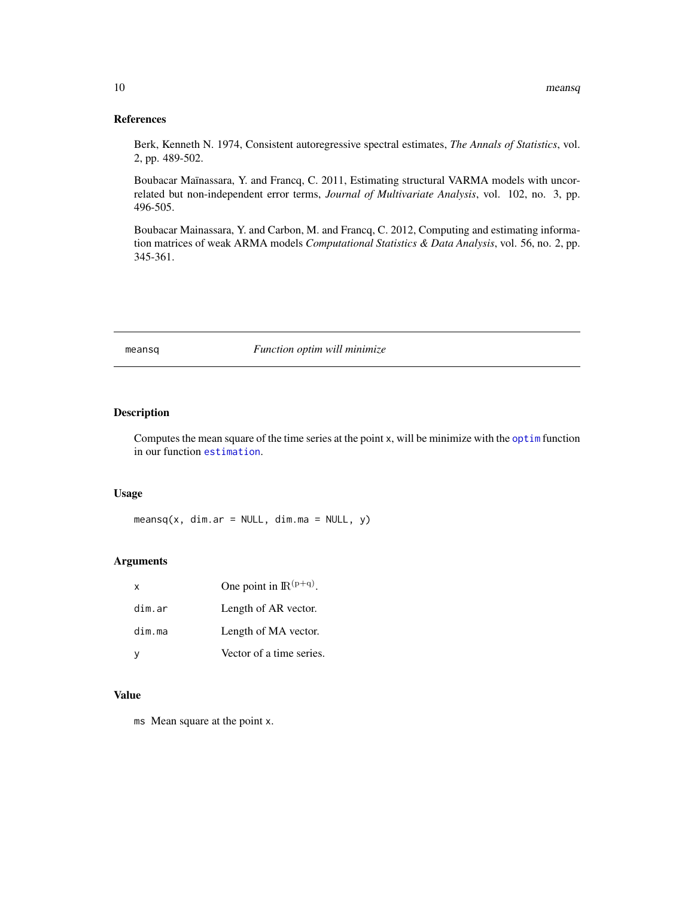#### <span id="page-9-0"></span>References

Berk, Kenneth N. 1974, Consistent autoregressive spectral estimates, *The Annals of Statistics*, vol. 2, pp. 489-502.

Boubacar Maïnassara, Y. and Francq, C. 2011, Estimating structural VARMA models with uncorrelated but non-independent error terms, *Journal of Multivariate Analysis*, vol. 102, no. 3, pp. 496-505.

Boubacar Mainassara, Y. and Carbon, M. and Francq, C. 2012, Computing and estimating information matrices of weak ARMA models *Computational Statistics & Data Analysis*, vol. 56, no. 2, pp. 345-361.

<span id="page-9-1"></span>

#### meansq *Function optim will minimize*

#### Description

Computes the mean square of the time series at the point x, will be minimize with the [optim](#page-0-0) function in our function [estimation](#page-6-2).

#### Usage

 $meansq(x, dim.ar = NULL, dim.ma = NULL, y)$ 

#### Arguments

| X      | One point in $\mathbb{R}^{(p+q)}$ . |
|--------|-------------------------------------|
| dim.ar | Length of AR vector.                |
| dim.ma | Length of MA vector.                |
|        | Vector of a time series.            |

#### Value

ms Mean square at the point x.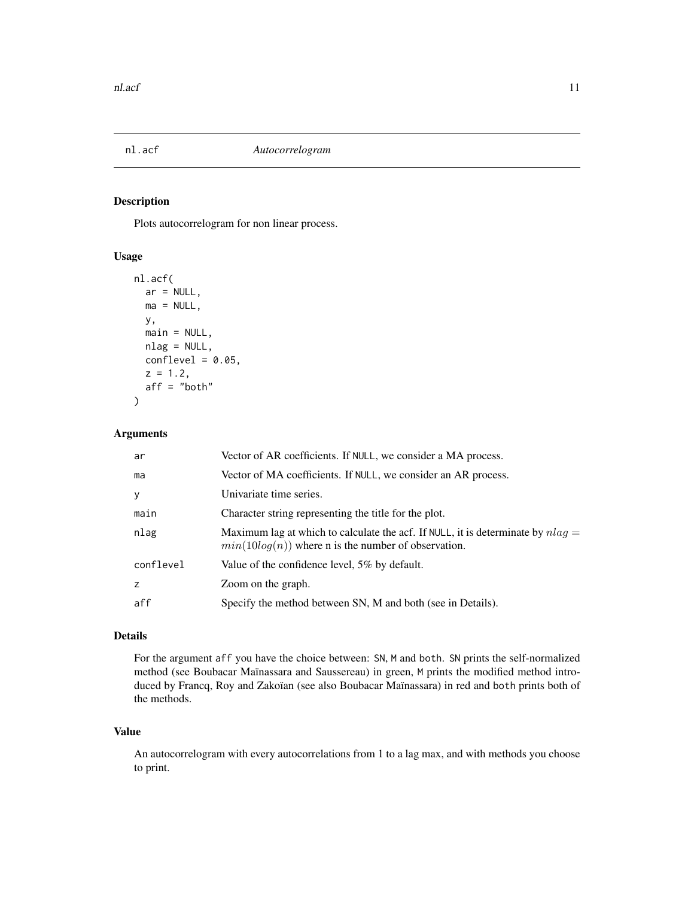<span id="page-10-0"></span>

Plots autocorrelogram for non linear process.

#### Usage

```
nl.acf(
  ar = NULL,ma = NULL,y,
 main = NULL,
 nlag = NULL,
  conflevel = 0.05,
  z = 1.2,
  aff = "both"\lambda
```
#### Arguments

| ar        | Vector of AR coefficients. If NULL, we consider a MA process.                                                                              |
|-----------|--------------------------------------------------------------------------------------------------------------------------------------------|
| ma        | Vector of MA coefficients. If NULL, we consider an AR process.                                                                             |
| У         | Univariate time series.                                                                                                                    |
| main      | Character string representing the title for the plot.                                                                                      |
| nlag      | Maximum lag at which to calculate the acf. If NULL, it is determinate by $nlag =$<br>$min(10log(n))$ where n is the number of observation. |
| conflevel | Value of the confidence level, 5% by default.                                                                                              |
| z         | Zoom on the graph.                                                                                                                         |
| aff       | Specify the method between SN, M and both (see in Details).                                                                                |

#### Details

For the argument aff you have the choice between: SN, M and both. SN prints the self-normalized method (see Boubacar Maïnassara and Saussereau) in green, M prints the modified method introduced by Francq, Roy and Zakoïan (see also Boubacar Maïnassara) in red and both prints both of the methods.

#### Value

An autocorrelogram with every autocorrelations from 1 to a lag max, and with methods you choose to print.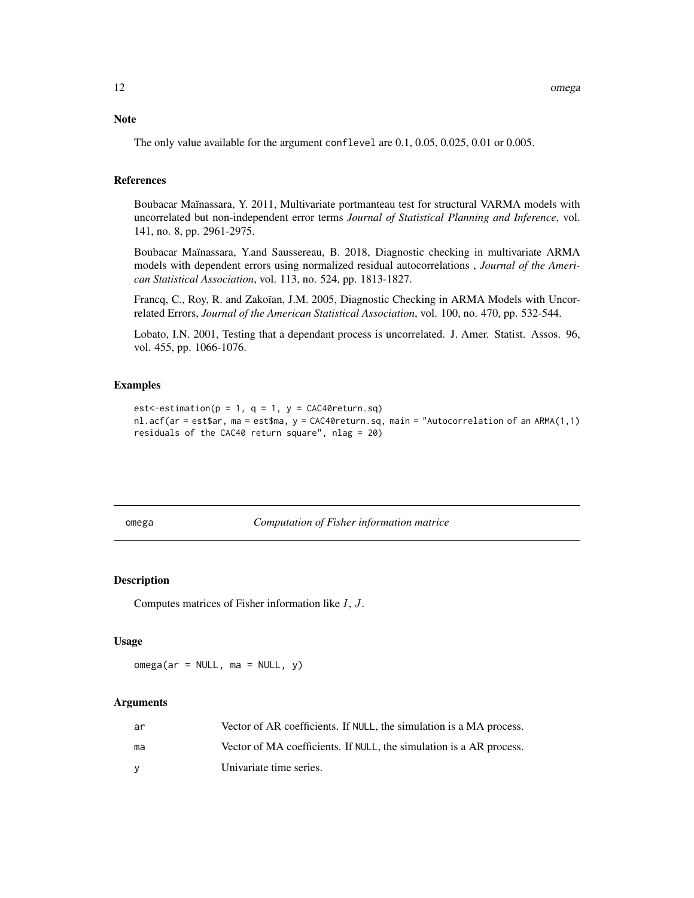#### <span id="page-11-0"></span>Note

The only value available for the argument conflevel are 0.1, 0.05, 0.025, 0.01 or 0.005.

#### References

Boubacar Maïnassara, Y. 2011, Multivariate portmanteau test for structural VARMA models with uncorrelated but non-independent error terms *Journal of Statistical Planning and Inference*, vol. 141, no. 8, pp. 2961-2975.

Boubacar Maïnassara, Y.and Saussereau, B. 2018, Diagnostic checking in multivariate ARMA models with dependent errors using normalized residual autocorrelations , *Journal of the American Statistical Association*, vol. 113, no. 524, pp. 1813-1827.

Francq, C., Roy, R. and Zakoïan, J.M. 2005, Diagnostic Checking in ARMA Models with Uncorrelated Errors, *Journal of the American Statistical Association*, vol. 100, no. 470, pp. 532-544.

Lobato, I.N. 2001, Testing that a dependant process is uncorrelated. J. Amer. Statist. Assos. 96, vol. 455, pp. 1066-1076.

#### Examples

```
est <-estimation(p = 1, q = 1, y = CAC40 return.sq)
nl.acf(ar = est$ar, ma = est$ma, y = CAC40return.sq, main = "Autocorrelation of an ARMA(1,1)
residuals of the CAC40 return square", nlag = 20)
```
<span id="page-11-1"></span>omega *Computation of Fisher information matrice*

#### Description

Computes matrices of Fisher information like I, J.

#### Usage

 $omega(a r = NULL, ma = NULL, y)$ 

#### Arguments

| ar | Vector of AR coefficients. If NULL, the simulation is a MA process. |
|----|---------------------------------------------------------------------|
| ma | Vector of MA coefficients. If NULL, the simulation is a AR process. |
|    | Univariate time series.                                             |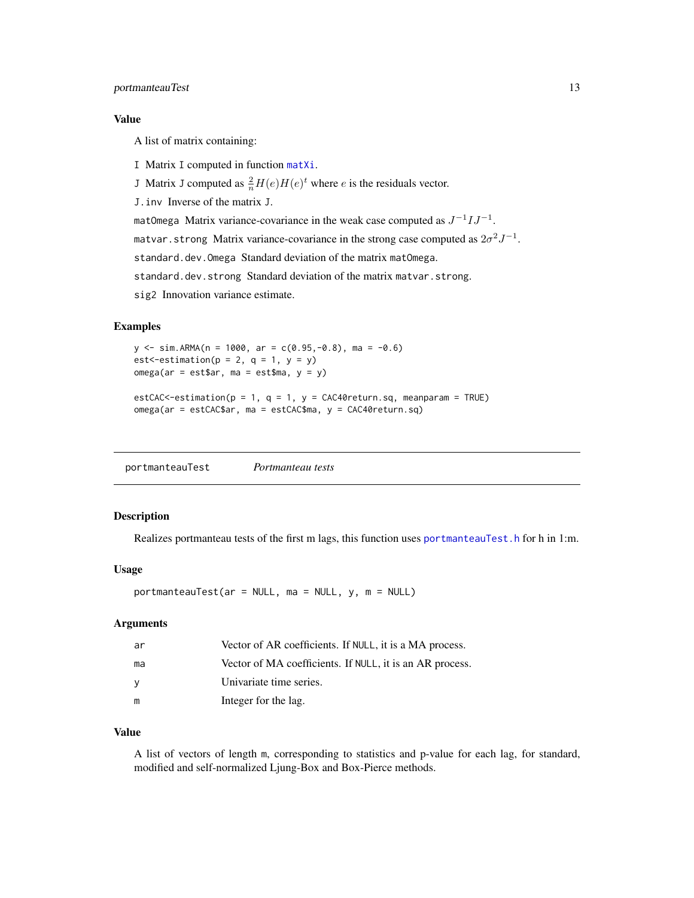#### <span id="page-12-0"></span>Value

A list of matrix containing:

- I Matrix I computed in function [matXi](#page-8-1).
- J Matrix J computed as  $\frac{2}{n}H(e)H(e)^t$  where e is the residuals vector.
- J.inv Inverse of the matrix J.

matOmega Matrix variance-covariance in the weak case computed as  $J^{-1}IJ^{-1}$ .

matvar.strong Matrix variance-covariance in the strong case computed as  $2\sigma^2 J^{-1}$ .

standard.dev.Omega Standard deviation of the matrix matOmega.

standard.dev.strong Standard deviation of the matrix matvar.strong.

sig2 Innovation variance estimate.

#### Examples

```
y \le -\sin ARMA(n = 1000, ar = c(0.95,-0.8), ma = -0.6)
est < - estimation(p = 2, q = 1, y = y)
omega(ar = est$ar, ma = est$ma, y = y)
estCAC<-estimation(p = 1, q = 1, y = CAC40return . sq, meanparam = TRUE)omega(ar = estCAC$ar, ma = estCAC$ma, y = CAC40return.sq)
```
<span id="page-12-1"></span>portmanteauTest *Portmanteau tests*

#### Description

Realizes portmanteau tests of the first m lags, this function uses [portmanteauTest.h](#page-13-1) for h in 1:m.

#### Usage

portmanteauTest(ar = NULL, ma = NULL, y, m = NULL)

#### Arguments

| ar | Vector of AR coefficients. If NULL, it is a MA process.  |
|----|----------------------------------------------------------|
| ma | Vector of MA coefficients. If NULL, it is an AR process. |
| y  | Univariate time series.                                  |
| m  | Integer for the lag.                                     |

#### Value

A list of vectors of length m, corresponding to statistics and p-value for each lag, for standard, modified and self-normalized Ljung-Box and Box-Pierce methods.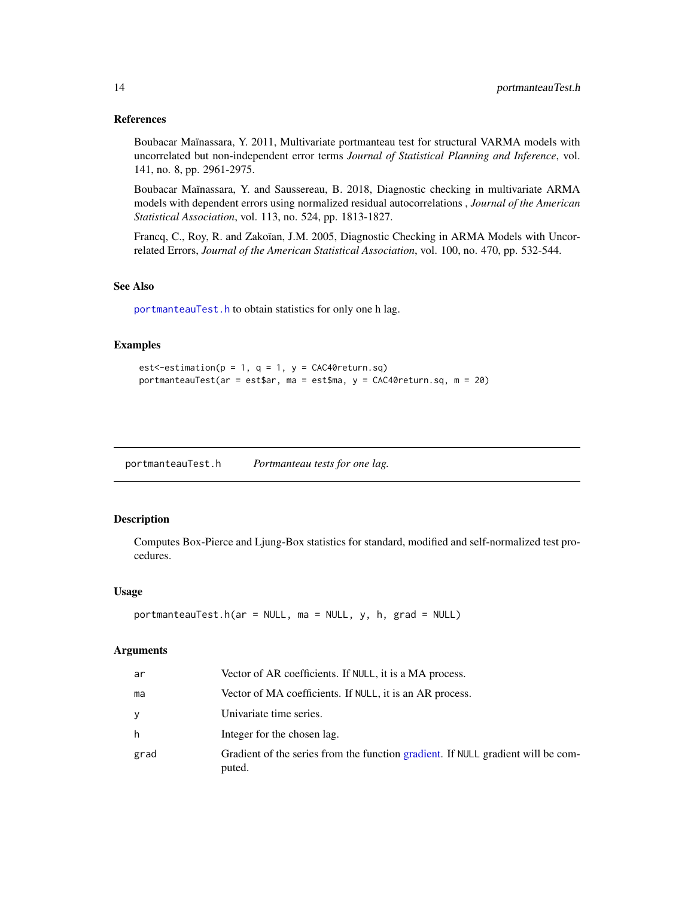#### <span id="page-13-0"></span>References

Boubacar Maïnassara, Y. 2011, Multivariate portmanteau test for structural VARMA models with uncorrelated but non-independent error terms *Journal of Statistical Planning and Inference*, vol. 141, no. 8, pp. 2961-2975.

Boubacar Maïnassara, Y. and Saussereau, B. 2018, Diagnostic checking in multivariate ARMA models with dependent errors using normalized residual autocorrelations , *Journal of the American Statistical Association*, vol. 113, no. 524, pp. 1813-1827.

Francq, C., Roy, R. and Zakoïan, J.M. 2005, Diagnostic Checking in ARMA Models with Uncorrelated Errors, *Journal of the American Statistical Association*, vol. 100, no. 470, pp. 532-544.

#### See Also

[portmanteauTest.h](#page-13-1) to obtain statistics for only one h lag.

#### Examples

```
est <- estimation(p = 1, q = 1, y = CAC40 return.sq)
portmanteauTest(ar = est$ar, ma = est$ma, y = CAC40return.sq, m = 20)
```
<span id="page-13-1"></span>portmanteauTest.h *Portmanteau tests for one lag.*

#### Description

Computes Box-Pierce and Ljung-Box statistics for standard, modified and self-normalized test procedures.

#### Usage

```
portmanteauTest.h(ar = NULL, ma = NULL, y, h, grad = NULL)
```
#### Arguments

| ar   | Vector of AR coefficients. If NULL, it is a MA process.                                    |
|------|--------------------------------------------------------------------------------------------|
| ma   | Vector of MA coefficients. If NULL, it is an AR process.                                   |
| y    | Univariate time series.                                                                    |
| h    | Integer for the chosen lag.                                                                |
| grad | Gradient of the series from the function gradient. If NULL gradient will be com-<br>puted. |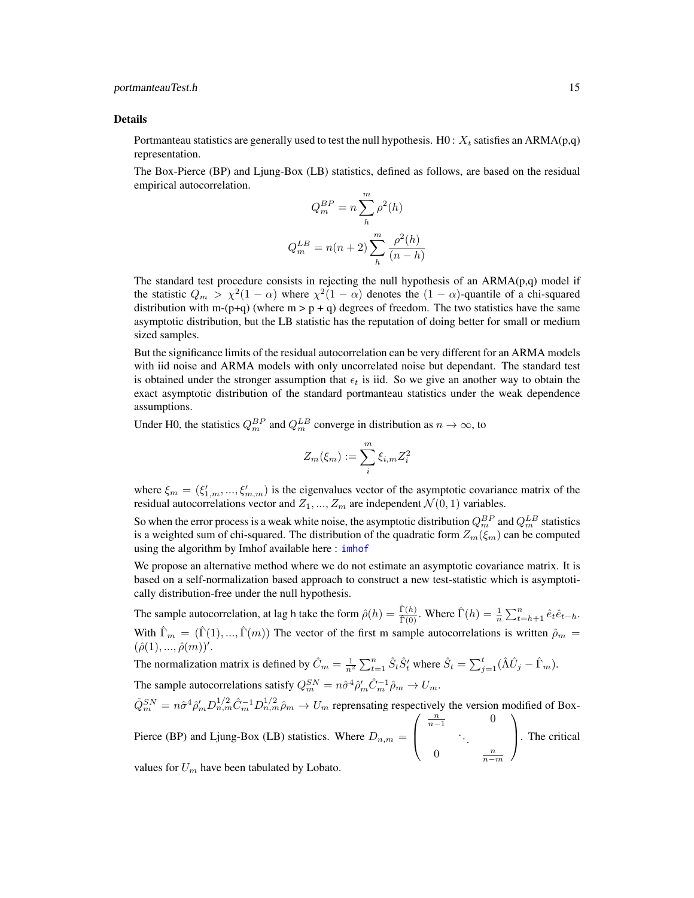#### <span id="page-14-0"></span>Details

Portmanteau statistics are generally used to test the null hypothesis. H0 :  $X_t$  satisfies an ARMA(p,q) representation.

The Box-Pierce (BP) and Ljung-Box (LB) statistics, defined as follows, are based on the residual empirical autocorrelation.

$$
Q_m^{BP} = n \sum_{h}^{m} \rho^2(h)
$$

$$
Q_m^{LB} = n(n+2) \sum_{h}^{m} \frac{\rho^2(h)}{(n-h)}
$$

The standard test procedure consists in rejecting the null hypothesis of an  $ARMA(p,q)$  model if the statistic  $Q_m > \chi^2(1-\alpha)$  where  $\chi^2(1-\alpha)$  denotes the  $(1-\alpha)$ -quantile of a chi-squared distribution with m-(p+q) (where m > p + q) degrees of freedom. The two statistics have the same asymptotic distribution, but the LB statistic has the reputation of doing better for small or medium sized samples.

But the significance limits of the residual autocorrelation can be very different for an ARMA models with iid noise and ARMA models with only uncorrelated noise but dependant. The standard test is obtained under the stronger assumption that  $\epsilon_t$  is iid. So we give an another way to obtain the exact asymptotic distribution of the standard portmanteau statistics under the weak dependence assumptions.

Under H0, the statistics  $Q_m^{BP}$  and  $Q_m^{LB}$  converge in distribution as  $n \to \infty$ , to

$$
Z_m(\xi_m) := \sum_i^m \xi_{i,m} Z_i^2
$$

where  $\xi_m = (\xi'_{1,m}, ..., \xi'_{m,m})$  is the eigenvalues vector of the asymptotic covariance matrix of the residual autocorrelations vector and  $Z_1, ..., Z_m$  are independent  $\mathcal{N}(0, 1)$  variables.

So when the error process is a weak white noise, the asymptotic distribution  $Q_m^{BP}$  and  $Q_m^{LB}$  statistics is a weighted sum of chi-squared. The distribution of the quadratic form  $Z_m(\xi_m)$  can be computed using the algorithm by Imhof available here : [imhof](#page-0-0)

We propose an alternative method where we do not estimate an asymptotic covariance matrix. It is based on a self-normalization based approach to construct a new test-statistic which is asymptotically distribution-free under the null hypothesis.

The sample autocorrelation, at lag h take the form  $\hat{\rho}(h) = \frac{\hat{\Gamma}(h)}{\hat{\Gamma}(0)}$ . Where  $\hat{\Gamma}(h) = \frac{1}{n} \sum_{t=h+1}^{n} \hat{e}_t \hat{e}_{t-h}$ . With  $\hat{\Gamma}_m = (\hat{\Gamma}(1), ..., \hat{\Gamma}(m))$  The vector of the first m sample autocorrelations is written  $\hat{\rho}_m =$  $(\hat{\rho}(1),...,\hat{\rho}(m))'.$ 

The normalization matrix is defined by  $\hat{C}_m = \frac{1}{n^2} \sum_{t=1}^n \hat{S}_t \hat{S}'_t$  where  $\hat{S}_t = \sum_{j=1}^t (\hat{\Lambda} \hat{U}_j - \hat{\Gamma}_m)$ . The sample autocorrelations satisfy  $Q_m^{SN} = n\hat{\sigma}^4 \hat{\rho}'_m \hat{C}_m^{-1} \hat{\rho}_m \rightarrow U_m$ .

$$
\tilde{Q}_m^{SN} = n\hat{\sigma}^4 \hat{\rho}'_m D_{n,m}^{1/2} \hat{C}_m^{-1} D_{n,m}^{1/2} \hat{\rho}_m \to U_m
$$
 representing respectively the version modified of Box-  
 Pierce (BP) and Ljung-Box (LB) statistics. Where  $D_{n,m} = \begin{pmatrix} \frac{n}{n-1} & 0 \\ 0 & \frac{n}{n-m} \end{pmatrix}$ . The critical

values for  $U_m$  have been tabulated by Lobato.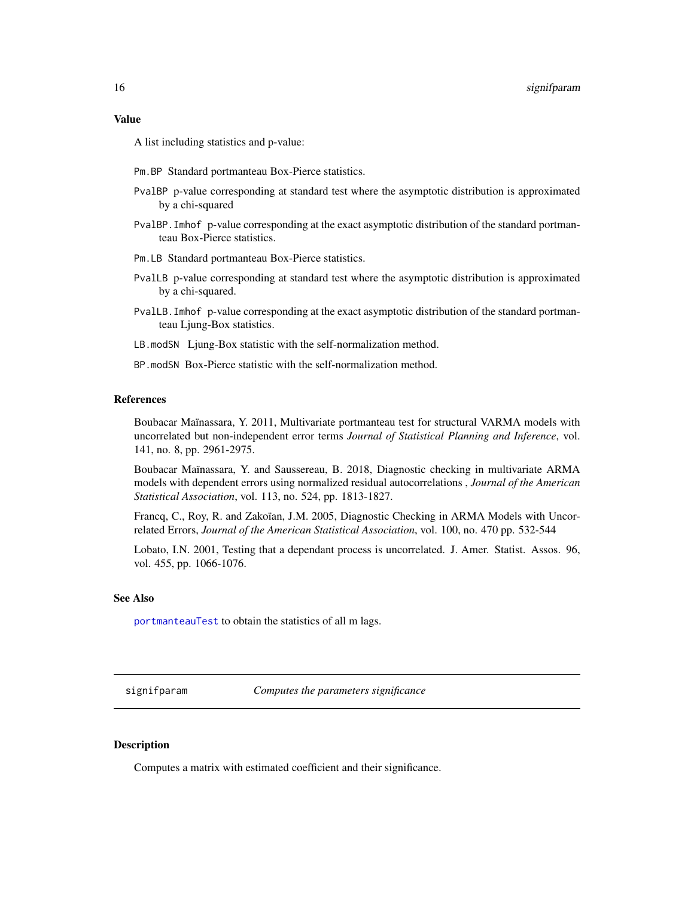#### <span id="page-15-0"></span>Value

A list including statistics and p-value:

- Pm.BP Standard portmanteau Box-Pierce statistics.
- PvalBP p-value corresponding at standard test where the asymptotic distribution is approximated by a chi-squared
- PvalBP.Imhof p-value corresponding at the exact asymptotic distribution of the standard portmanteau Box-Pierce statistics.
- Pm.LB Standard portmanteau Box-Pierce statistics.
- PvalLB p-value corresponding at standard test where the asymptotic distribution is approximated by a chi-squared.
- PvalLB.Imhof p-value corresponding at the exact asymptotic distribution of the standard portmanteau Ljung-Box statistics.
- LB.modSN Ljung-Box statistic with the self-normalization method.
- BP.modSN Box-Pierce statistic with the self-normalization method.

#### References

Boubacar Maïnassara, Y. 2011, Multivariate portmanteau test for structural VARMA models with uncorrelated but non-independent error terms *Journal of Statistical Planning and Inference*, vol. 141, no. 8, pp. 2961-2975.

Boubacar Maïnassara, Y. and Saussereau, B. 2018, Diagnostic checking in multivariate ARMA models with dependent errors using normalized residual autocorrelations , *Journal of the American Statistical Association*, vol. 113, no. 524, pp. 1813-1827.

Francq, C., Roy, R. and Zakoïan, J.M. 2005, Diagnostic Checking in ARMA Models with Uncorrelated Errors, *Journal of the American Statistical Association*, vol. 100, no. 470 pp. 532-544

Lobato, I.N. 2001, Testing that a dependant process is uncorrelated. J. Amer. Statist. Assos. 96, vol. 455, pp. 1066-1076.

#### See Also

[portmanteauTest](#page-12-1) to obtain the statistics of all m lags.

signifparam *Computes the parameters significance*

#### Description

Computes a matrix with estimated coefficient and their significance.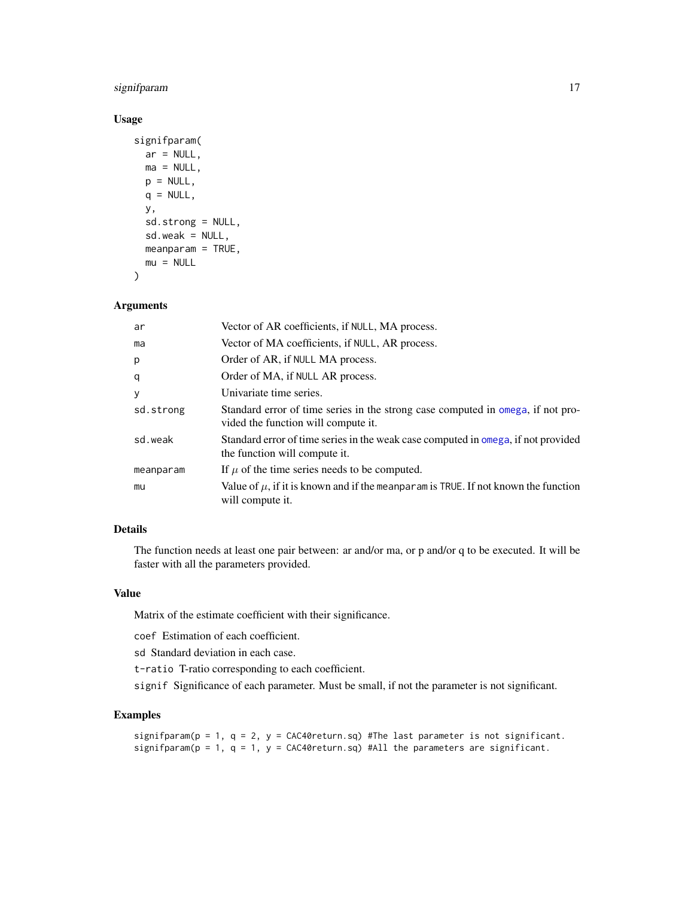#### <span id="page-16-0"></span>signifparam 17

#### Usage

```
signifparam(
 ar = NULL,ma = NULL,p = NULL,q = NULL,y,
  sd.strong = NULL,
  sd.weak = NULL,meanparam = TRUE,
 mu = NULL)
```
#### Arguments

| ar        | Vector of AR coefficients, if NULL, MA process.                                                                        |
|-----------|------------------------------------------------------------------------------------------------------------------------|
| ma        | Vector of MA coefficients, if NULL, AR process.                                                                        |
| p         | Order of AR, if NULL MA process.                                                                                       |
| q         | Order of MA, if NULL AR process.                                                                                       |
| У         | Univariate time series.                                                                                                |
| sd.strong | Standard error of time series in the strong case computed in omega, if not pro-<br>vided the function will compute it. |
| sd.weak   | Standard error of time series in the weak case computed in omega, if not provided<br>the function will compute it.     |
| meanparam | If $\mu$ of the time series needs to be computed.                                                                      |
| mu        | Value of $\mu$ , if it is known and if the meanparam is TRUE. If not known the function<br>will compute it.            |

#### Details

The function needs at least one pair between: ar and/or ma, or p and/or q to be executed. It will be faster with all the parameters provided.

#### Value

Matrix of the estimate coefficient with their significance.

coef Estimation of each coefficient.

sd Standard deviation in each case.

t-ratio T-ratio corresponding to each coefficient.

signif Significance of each parameter. Must be small, if not the parameter is not significant.

#### Examples

```
signifparam(p = 1, q = 2, y = CAC40return.sq) #The last parameter is not significant.
signifparam(p = 1, q = 1, y = CAC40return.sq) #All the parameters are significant.
```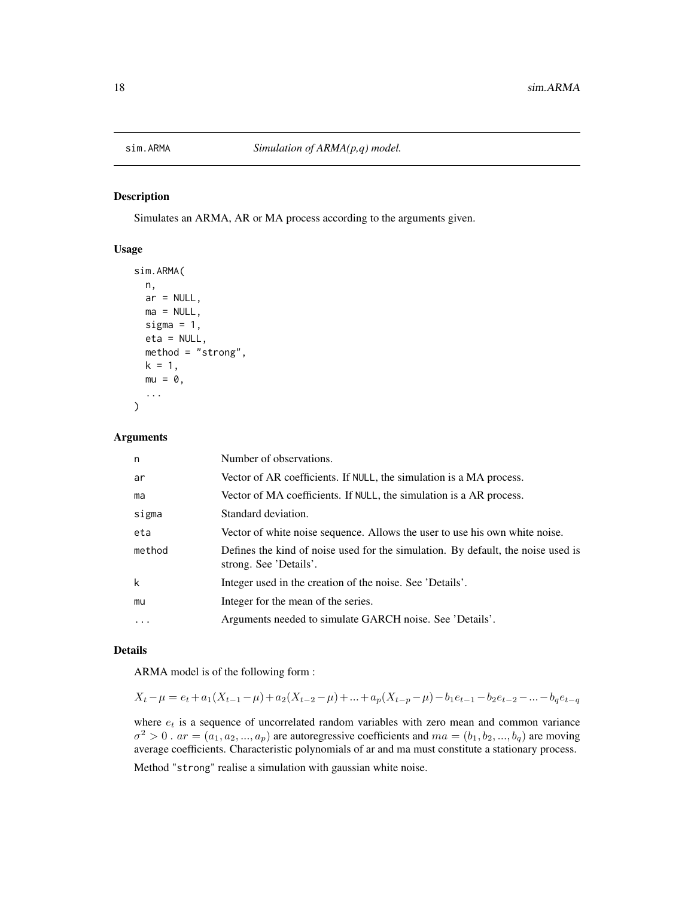<span id="page-17-0"></span>

Simulates an ARMA, AR or MA process according to the arguments given.

#### Usage

```
sim.ARMA(
  n,
  ar = NULL,ma = NULL,sigma = 1,
  eta = NULL,
 method = "strong",
 k = 1,
 mu = 0,
  ...
)
```
#### Arguments

| n       | Number of observations.                                                                                    |
|---------|------------------------------------------------------------------------------------------------------------|
| ar      | Vector of AR coefficients. If NULL, the simulation is a MA process.                                        |
| ma      | Vector of MA coefficients. If NULL, the simulation is a AR process.                                        |
| sigma   | Standard deviation.                                                                                        |
| eta     | Vector of white noise sequence. Allows the user to use his own white noise.                                |
| method  | Defines the kind of noise used for the simulation. By default, the noise used is<br>strong. See 'Details'. |
| k       | Integer used in the creation of the noise. See 'Details'.                                                  |
| mu      | Integer for the mean of the series.                                                                        |
| $\cdot$ | Arguments needed to simulate GARCH noise. See 'Details'.                                                   |
|         |                                                                                                            |

#### Details

ARMA model is of the following form :

$$
X_t - \mu = e_t + a_1(X_{t-1} - \mu) + a_2(X_{t-2} - \mu) + \dots + a_p(X_{t-p} - \mu) - b_1e_{t-1} - b_2e_{t-2} - \dots - b_qe_{t-q}
$$

where  $e_t$  is a sequence of uncorrelated random variables with zero mean and common variance  $\sigma^2 > 0$  .  $ar = (a_1, a_2, ..., a_p)$  are autoregressive coefficients and  $ma = (b_1, b_2, ..., b_q)$  are moving average coefficients. Characteristic polynomials of ar and ma must constitute a stationary process.

Method "strong" realise a simulation with gaussian white noise.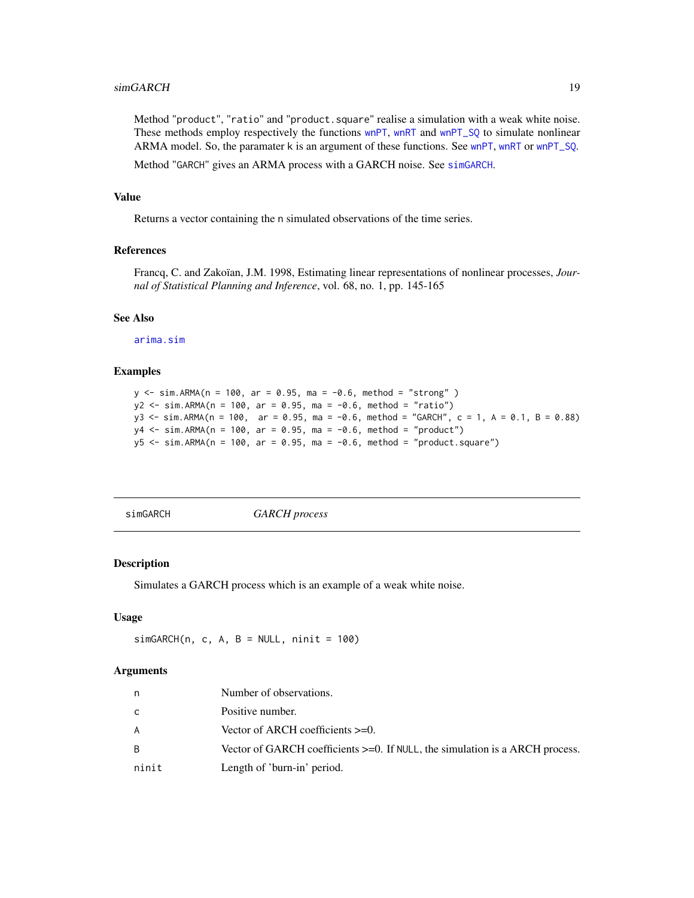<span id="page-18-0"></span>Method "product", "ratio" and "product.square" realise a simulation with a weak white noise. These methods employ respectively the functions [wnPT](#page-20-1), [wnRT](#page-22-1) and [wnPT\\_SQ](#page-21-1) to simulate nonlinear ARMA model. So, the paramater k is an argument of these functions. See [wnPT](#page-20-1), [wnRT](#page-22-1) or [wnPT\\_SQ](#page-21-1).

Method "GARCH" gives an ARMA process with a GARCH noise. See [simGARCH](#page-18-1).

#### Value

Returns a vector containing the n simulated observations of the time series.

#### References

Francq, C. and Zakoïan, J.M. 1998, Estimating linear representations of nonlinear processes, *Journal of Statistical Planning and Inference*, vol. 68, no. 1, pp. 145-165

#### See Also

[arima.sim](#page-0-0)

#### Examples

```
y <- sim.ARMA(n = 100, ar = 0.95, ma = -0.6, method = "strong" )
y2 <- sim.ARMA(n = 100, ar = 0.95, ma = -0.6, method = "ratio")
y3 <- sim.ARMA(n = 100, ar = 0.95, ma = -0.6, method = "GARCH", c = 1, A = 0.1, B = 0.88)
y4 \le -\sin A RMA(n = 100, \text{ar} = 0.95, \text{ma} = -0.6, \text{ method} = "product")y5 \le -\sin \lambda RMA(n = 100, ar = 0.95, ma = -0.6, method = "product-square")
```
<span id="page-18-1"></span>simGARCH *GARCH process*

#### Description

Simulates a GARCH process which is an example of a weak white noise.

#### Usage

 $simGARCH(n, c, A, B = NULL, ninit = 100)$ 

#### **Arguments**

| n     | Number of observations.                                                         |
|-------|---------------------------------------------------------------------------------|
| C     | Positive number.                                                                |
| A     | Vector of ARCH coefficients $>=0$ .                                             |
| B.    | Vector of GARCH coefficients $>=0$ . If NULL, the simulation is a ARCH process. |
| ninit | Length of 'burn-in' period.                                                     |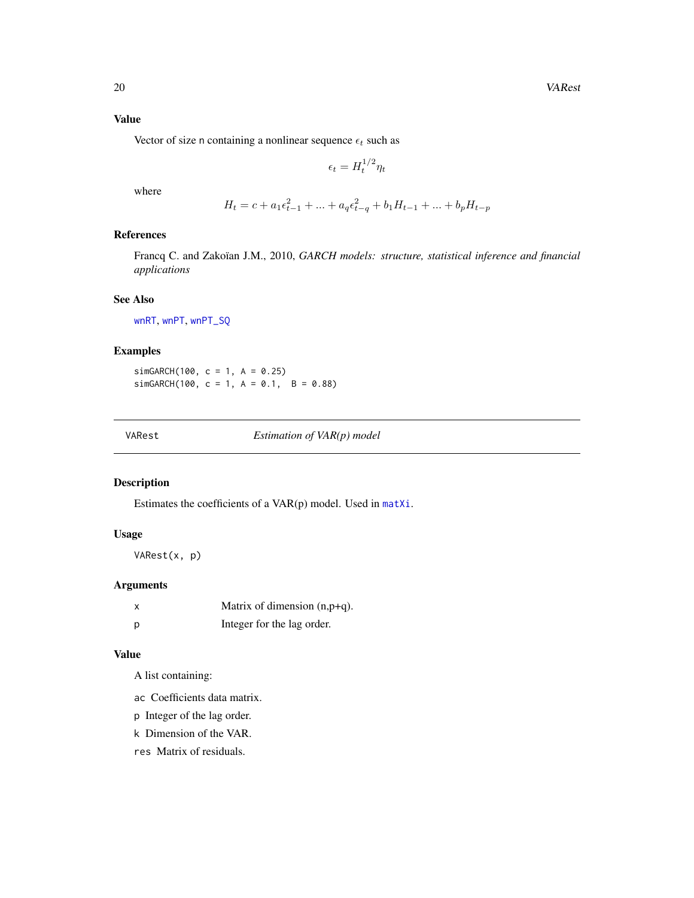<span id="page-19-0"></span>Vector of size n containing a nonlinear sequence  $\epsilon_t$  such as

$$
\epsilon_t = H_t^{1/2} \eta_t
$$

where

$$
H_t = c + a_1 \epsilon_{t-1}^2 + \dots + a_q \epsilon_{t-q}^2 + b_1 H_{t-1} + \dots + b_p H_{t-p}
$$

### References

Francq C. and Zakoïan J.M., 2010, *GARCH models: structure, statistical inference and financial applications*

#### See Also

[wnRT](#page-22-1), [wnPT](#page-20-1), [wnPT\\_SQ](#page-21-1)

#### Examples

simGARCH(100,  $c = 1$ ,  $A = 0.25$ )  $simGARCH(100, c = 1, A = 0.1, B = 0.88)$ 

VARest *Estimation of VAR(p) model*

#### Description

Estimates the coefficients of a VAR(p) model. Used in [matXi](#page-8-1).

#### Usage

VARest(x, p)

#### Arguments

| x | Matrix of dimension $(n, p+q)$ . |
|---|----------------------------------|
| D | Integer for the lag order.       |

#### Value

A list containing:

- ac Coefficients data matrix.
- p Integer of the lag order.
- k Dimension of the VAR.
- res Matrix of residuals.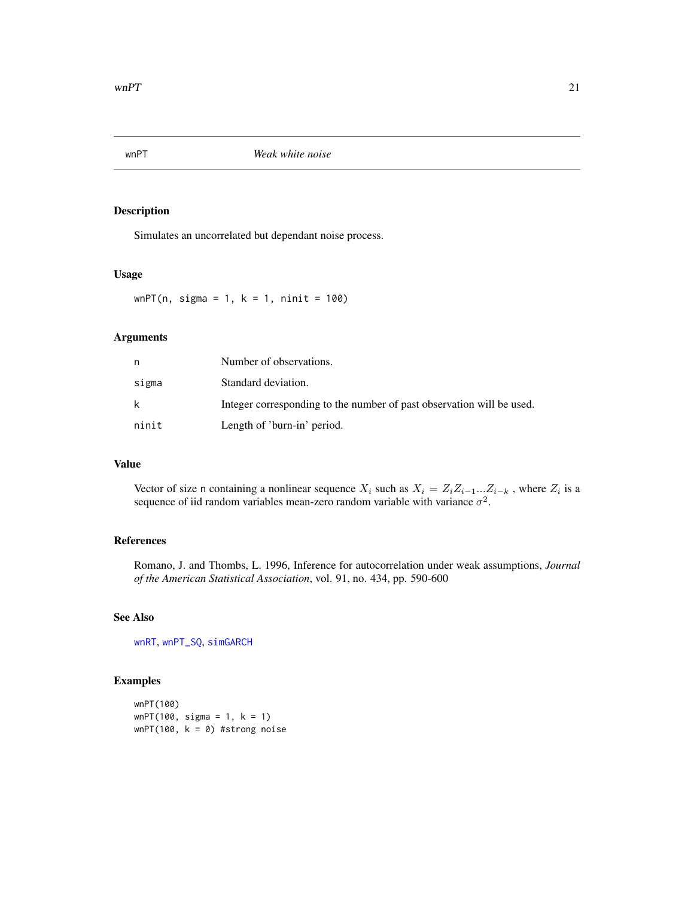<span id="page-20-1"></span><span id="page-20-0"></span>

Simulates an uncorrelated but dependant noise process.

#### Usage

 $wnPT(n, sigma = 1, k = 1, ninit = 100)$ 

#### Arguments

| n     | Number of observations.                                               |
|-------|-----------------------------------------------------------------------|
| sigma | Standard deviation.                                                   |
| k     | Integer corresponding to the number of past observation will be used. |
| ninit | Length of 'burn-in' period.                                           |

#### Value

Vector of size n containing a nonlinear sequence  $X_i$  such as  $X_i = Z_i Z_{i-1}...Z_{i-k}$ , where  $Z_i$  is a sequence of iid random variables mean-zero random variable with variance  $\sigma^2$ .

#### References

Romano, J. and Thombs, L. 1996, Inference for autocorrelation under weak assumptions, *Journal of the American Statistical Association*, vol. 91, no. 434, pp. 590-600

### See Also

[wnRT](#page-22-1), [wnPT\\_SQ](#page-21-1), [simGARCH](#page-18-1)

#### Examples

wnPT(100) wnPT(100, sigma = 1, k = 1)  $wnPT(100, k = 0)$  #strong noise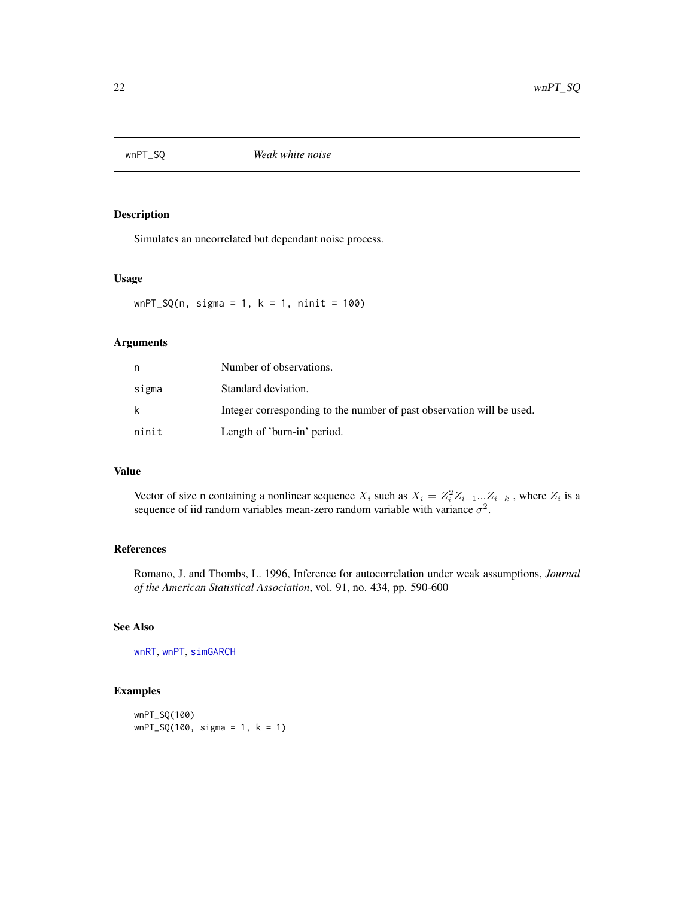<span id="page-21-1"></span><span id="page-21-0"></span>

Simulates an uncorrelated but dependant noise process.

#### Usage

 $wnPT_SQ(n, sigma = 1, k = 1, ninit = 100)$ 

#### Arguments

| n     | Number of observations.                                               |
|-------|-----------------------------------------------------------------------|
| sigma | Standard deviation.                                                   |
| k     | Integer corresponding to the number of past observation will be used. |
| ninit | Length of 'burn-in' period.                                           |

#### Value

Vector of size n containing a nonlinear sequence  $X_i$  such as  $X_i = Z_i^2 Z_{i-1}...Z_{i-k}$ , where  $Z_i$  is a sequence of iid random variables mean-zero random variable with variance  $\sigma^2$ .

### References

Romano, J. and Thombs, L. 1996, Inference for autocorrelation under weak assumptions, *Journal of the American Statistical Association*, vol. 91, no. 434, pp. 590-600

#### See Also

[wnRT](#page-22-1), [wnPT](#page-20-1), [simGARCH](#page-18-1)

#### Examples

wnPT\_SQ(100)  $wnPT_SQ(100, sigma = 1, k = 1)$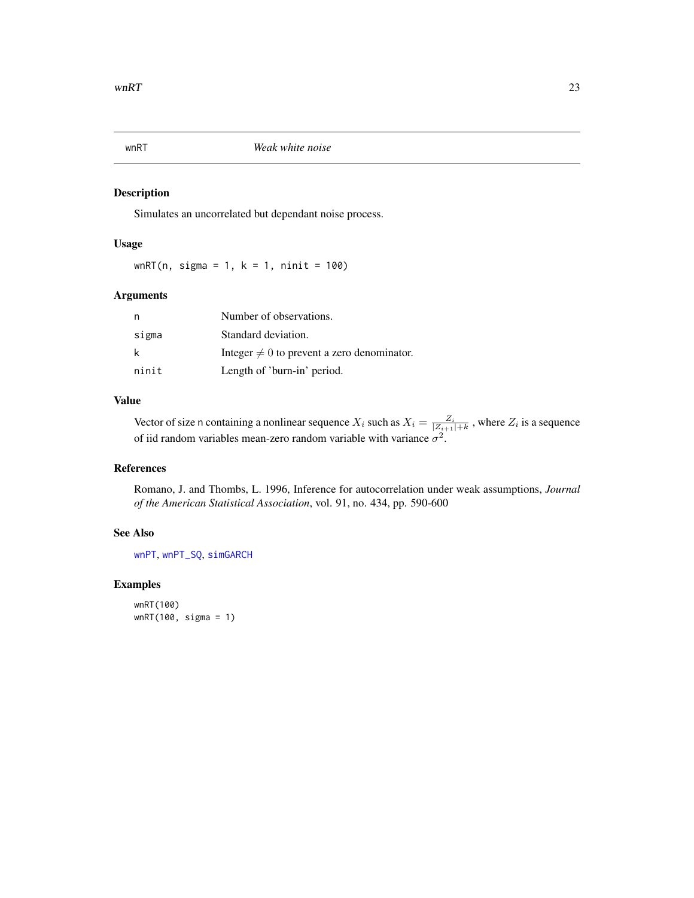<span id="page-22-1"></span><span id="page-22-0"></span>

Simulates an uncorrelated but dependant noise process.

#### Usage

wnRT(n, sigma = 1,  $k = 1$ , ninit = 100)

#### Arguments

| n     | Number of observations.                         |
|-------|-------------------------------------------------|
| sigma | Standard deviation.                             |
| k     | Integer $\neq 0$ to prevent a zero denominator. |
| ninit | Length of 'burn-in' period.                     |

#### Value

Vector of size n containing a nonlinear sequence  $X_i$  such as  $X_i = \frac{Z_i}{|Z_{i+1}|+k}$ , where  $Z_i$  is a sequence of iid random variables mean-zero random variable with variance  $\sigma^2$ .

### References

Romano, J. and Thombs, L. 1996, Inference for autocorrelation under weak assumptions, *Journal of the American Statistical Association*, vol. 91, no. 434, pp. 590-600

#### See Also

[wnPT](#page-20-1), [wnPT\\_SQ](#page-21-1), [simGARCH](#page-18-1)

#### Examples

wnRT(100) wnRT(100, sigma = 1)